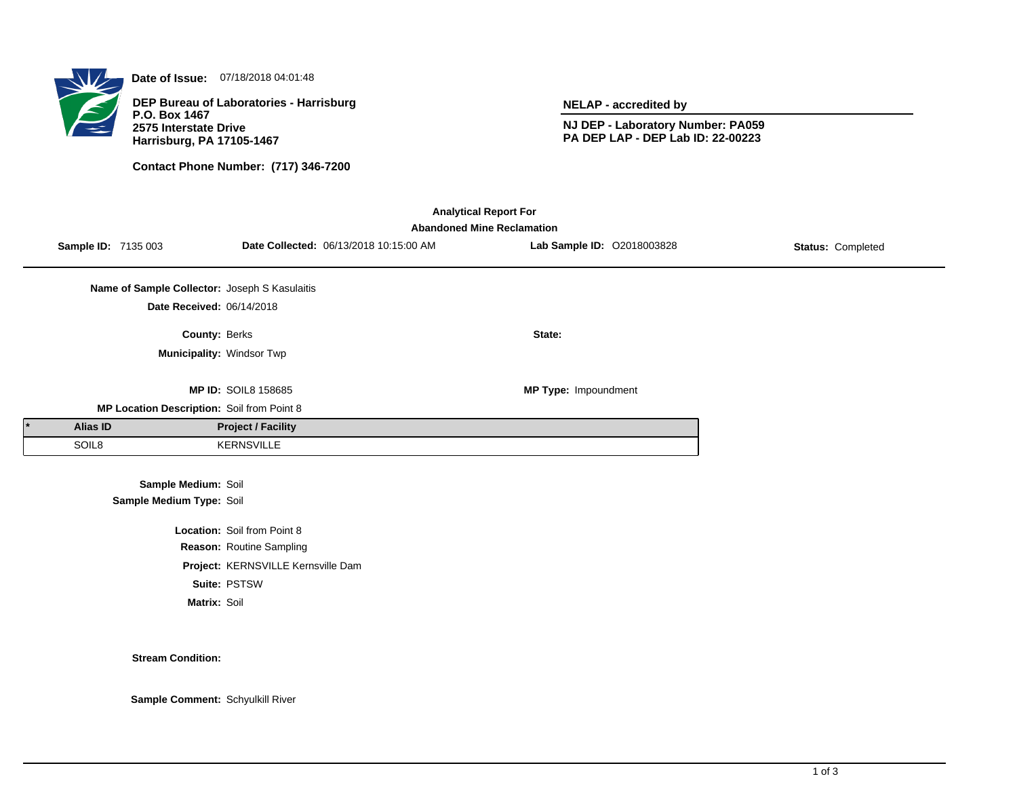

**Date of Issue:** 07/18/2018 04:01:48

**DEP Bureau of Laboratories - Harrisburg P.O. Box 1467 2575 Interstate Drive Harrisburg, PA 17105-1467**

**Contact Phone Number: (717) 346-7200**

**NELAP - accredited by**

**NJ DEP - Laboratory Number: PA059 PA DEP LAP - DEP Lab ID: 22-00223**

| <b>Analytical Report For</b> |                                   |                                               |                                    |                                        |                            |                   |  |  |  |  |  |  |
|------------------------------|-----------------------------------|-----------------------------------------------|------------------------------------|----------------------------------------|----------------------------|-------------------|--|--|--|--|--|--|
|                              | <b>Abandoned Mine Reclamation</b> |                                               |                                    |                                        |                            |                   |  |  |  |  |  |  |
|                              |                                   | <b>Sample ID: 7135 003</b>                    |                                    | Date Collected: 06/13/2018 10:15:00 AM | Lab Sample ID: 02018003828 | Status: Completed |  |  |  |  |  |  |
|                              |                                   |                                               |                                    |                                        |                            |                   |  |  |  |  |  |  |
|                              |                                   | Name of Sample Collector: Joseph S Kasulaitis |                                    |                                        |                            |                   |  |  |  |  |  |  |
|                              |                                   | Date Received: 06/14/2018                     |                                    |                                        |                            |                   |  |  |  |  |  |  |
|                              |                                   | County: Berks                                 |                                    |                                        | State:                     |                   |  |  |  |  |  |  |
|                              |                                   | Municipality: Windsor Twp                     |                                    |                                        |                            |                   |  |  |  |  |  |  |
|                              |                                   |                                               |                                    |                                        |                            |                   |  |  |  |  |  |  |
|                              |                                   |                                               | <b>MP ID: SOIL8 158685</b>         |                                        | MP Type: Impoundment       |                   |  |  |  |  |  |  |
|                              |                                   | MP Location Description: Soil from Point 8    |                                    |                                        |                            |                   |  |  |  |  |  |  |
|                              | <b>Alias ID</b>                   |                                               | <b>Project / Facility</b>          |                                        |                            |                   |  |  |  |  |  |  |
|                              | SOIL8                             |                                               | <b>KERNSVILLE</b>                  |                                        |                            |                   |  |  |  |  |  |  |
|                              |                                   |                                               |                                    |                                        |                            |                   |  |  |  |  |  |  |
|                              |                                   | Sample Medium: Soil                           |                                    |                                        |                            |                   |  |  |  |  |  |  |
|                              |                                   | Sample Medium Type: Soil                      |                                    |                                        |                            |                   |  |  |  |  |  |  |
|                              |                                   |                                               | Location: Soil from Point 8        |                                        |                            |                   |  |  |  |  |  |  |
|                              |                                   |                                               | Reason: Routine Sampling           |                                        |                            |                   |  |  |  |  |  |  |
|                              |                                   |                                               | Project: KERNSVILLE Kernsville Dam |                                        |                            |                   |  |  |  |  |  |  |
|                              |                                   |                                               | Suite: PSTSW                       |                                        |                            |                   |  |  |  |  |  |  |
|                              |                                   | Matrix: Soil                                  |                                    |                                        |                            |                   |  |  |  |  |  |  |

## **Stream Condition:**

**Sample Comment:** Schyulkill River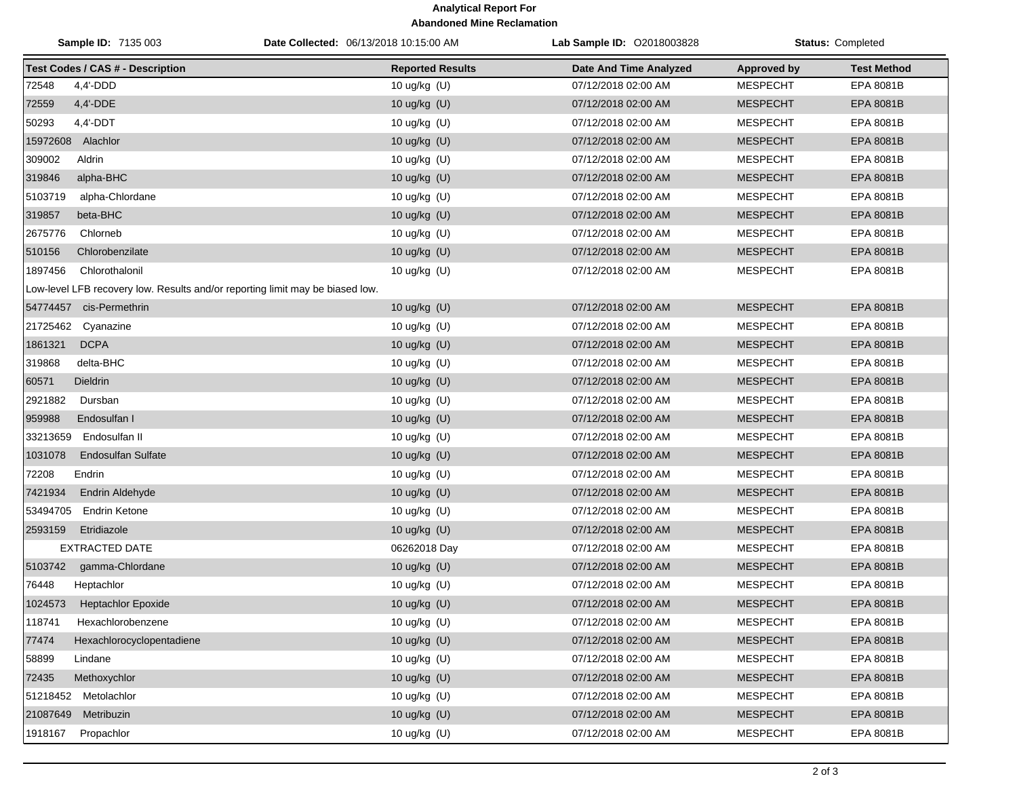## **Analytical Report For Abandoned Mine Reclamation**

| <b>Sample ID: 7135 003</b>                                                    | Date Collected: 06/13/2018 10:15:00 AM | Lab Sample ID: 02018003828    | <b>Status: Completed</b> |                    |
|-------------------------------------------------------------------------------|----------------------------------------|-------------------------------|--------------------------|--------------------|
| <b>Test Codes / CAS # - Description</b>                                       | <b>Reported Results</b>                | <b>Date And Time Analyzed</b> | <b>Approved by</b>       | <b>Test Method</b> |
| 72548<br>4,4'-DDD                                                             | 10 ug/kg (U)                           | 07/12/2018 02:00 AM           | <b>MESPECHT</b>          | EPA 8081B          |
| 72559<br>4,4'-DDE                                                             | 10 ug/kg $(U)$                         | 07/12/2018 02:00 AM           | <b>MESPECHT</b>          | <b>EPA 8081B</b>   |
| 50293<br>$4,4'$ -DDT                                                          | 10 ug/kg (U)                           | 07/12/2018 02:00 AM           | <b>MESPECHT</b>          | EPA 8081B          |
| 15972608 Alachlor                                                             | 10 ug/kg (U)                           | 07/12/2018 02:00 AM           | <b>MESPECHT</b>          | <b>EPA 8081B</b>   |
| 309002<br>Aldrin                                                              | 10 ug/kg (U)                           | 07/12/2018 02:00 AM           | <b>MESPECHT</b>          | EPA 8081B          |
| 319846<br>alpha-BHC                                                           | 10 ug/kg (U)                           | 07/12/2018 02:00 AM           | <b>MESPECHT</b>          | EPA 8081B          |
| 5103719<br>alpha-Chlordane                                                    | 10 ug/kg (U)                           | 07/12/2018 02:00 AM           | <b>MESPECHT</b>          | EPA 8081B          |
| 319857<br>beta-BHC                                                            | 10 ug/kg (U)                           | 07/12/2018 02:00 AM           | <b>MESPECHT</b>          | EPA 8081B          |
| 2675776<br>Chlorneb                                                           | 10 ug/kg (U)                           | 07/12/2018 02:00 AM           | <b>MESPECHT</b>          | EPA 8081B          |
| 510156<br>Chlorobenzilate                                                     | 10 ug/kg (U)                           | 07/12/2018 02:00 AM           | <b>MESPECHT</b>          | <b>EPA 8081B</b>   |
| 1897456<br>Chlorothalonil                                                     | 10 ug/kg (U)                           | 07/12/2018 02:00 AM           | <b>MESPECHT</b>          | EPA 8081B          |
| Low-level LFB recovery low. Results and/or reporting limit may be biased low. |                                        |                               |                          |                    |
| 54774457 cis-Permethrin                                                       | 10 ug/kg $(U)$                         | 07/12/2018 02:00 AM           | <b>MESPECHT</b>          | EPA 8081B          |
| 21725462<br>Cyanazine                                                         | 10 ug/kg (U)                           | 07/12/2018 02:00 AM           | <b>MESPECHT</b>          | EPA 8081B          |
| <b>DCPA</b><br>1861321                                                        | 10 ug/kg (U)                           | 07/12/2018 02:00 AM           | <b>MESPECHT</b>          | <b>EPA 8081B</b>   |
| 319868<br>delta-BHC                                                           | 10 ug/kg (U)                           | 07/12/2018 02:00 AM           | <b>MESPECHT</b>          | EPA 8081B          |
| 60571<br>Dieldrin                                                             | 10 ug/kg $(U)$                         | 07/12/2018 02:00 AM           | <b>MESPECHT</b>          | EPA 8081B          |
| 2921882<br>Dursban                                                            | 10 ug/kg (U)                           | 07/12/2018 02:00 AM           | <b>MESPECHT</b>          | EPA 8081B          |
| 959988<br>Endosulfan I                                                        | 10 ug/kg (U)                           | 07/12/2018 02:00 AM           | <b>MESPECHT</b>          | EPA 8081B          |
| Endosulfan II<br>33213659                                                     | 10 ug/kg (U)                           | 07/12/2018 02:00 AM           | <b>MESPECHT</b>          | EPA 8081B          |
| 1031078<br><b>Endosulfan Sulfate</b>                                          | 10 ug/kg (U)                           | 07/12/2018 02:00 AM           | <b>MESPECHT</b>          | EPA 8081B          |
| 72208<br>Endrin                                                               | 10 ug/kg (U)                           | 07/12/2018 02:00 AM           | <b>MESPECHT</b>          | EPA 8081B          |
| 7421934<br>Endrin Aldehyde                                                    | 10 ug/kg (U)                           | 07/12/2018 02:00 AM           | <b>MESPECHT</b>          | EPA 8081B          |
| 53494705<br><b>Endrin Ketone</b>                                              | 10 ug/kg (U)                           | 07/12/2018 02:00 AM           | <b>MESPECHT</b>          | EPA 8081B          |
| 2593159<br>Etridiazole                                                        | 10 ug/kg (U)                           | 07/12/2018 02:00 AM           | <b>MESPECHT</b>          | EPA 8081B          |
| <b>EXTRACTED DATE</b>                                                         | 06262018 Day                           | 07/12/2018 02:00 AM           | <b>MESPECHT</b>          | EPA 8081B          |
| 5103742<br>gamma-Chlordane                                                    | 10 ug/kg (U)                           | 07/12/2018 02:00 AM           | <b>MESPECHT</b>          | <b>EPA 8081B</b>   |
| 76448<br>Heptachlor                                                           | 10 ug/kg (U)                           | 07/12/2018 02:00 AM           | <b>MESPECHT</b>          | EPA 8081B          |
| 1024573<br><b>Heptachlor Epoxide</b>                                          | 10 ug/kg (U)                           | 07/12/2018 02:00 AM           | <b>MESPECHT</b>          | <b>EPA 8081B</b>   |
| 118741<br>Hexachlorobenzene                                                   | 10 ug/kg (U)                           | 07/12/2018 02:00 AM           | <b>MESPECHT</b>          | EPA 8081B          |
| 77474<br>Hexachlorocyclopentadiene                                            | 10 ug/kg (U)                           | 07/12/2018 02:00 AM           | <b>MESPECHT</b>          | EPA 8081B          |
| 58899<br>Lindane                                                              | 10 ug/kg (U)                           | 07/12/2018 02:00 AM           | <b>MESPECHT</b>          | EPA 8081B          |
| 72435<br>Methoxychlor                                                         | 10 ug/kg (U)                           | 07/12/2018 02:00 AM           | <b>MESPECHT</b>          | EPA 8081B          |
| 51218452<br>Metolachlor                                                       | 10 ug/kg (U)                           | 07/12/2018 02:00 AM           | <b>MESPECHT</b>          | EPA 8081B          |
| 21087649<br>Metribuzin                                                        | 10 ug/kg (U)                           | 07/12/2018 02:00 AM           | <b>MESPECHT</b>          | EPA 8081B          |
| 1918167<br>Propachlor                                                         | 10 ug/kg (U)                           | 07/12/2018 02:00 AM           | <b>MESPECHT</b>          | EPA 8081B          |